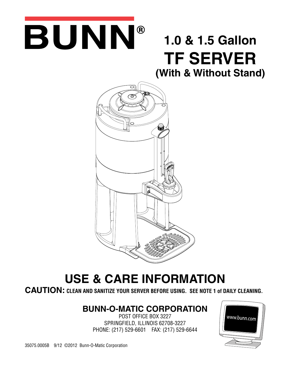# BUNN®

## **1.0 & 1.5 Gallon TF SERVER**

**(With & Without Stand)**



### **USE & CARE INFORMATION**

**CAUTION: CLEAN AND SANITIZE YOUR SERVER BEFORE USING. SEE NOTE 1 of DAILY CLEANING.**

#### **BUNN-O-MATIC CORPORATION**

POST OFFICE BOX 3227 SPRINGFIELD, ILLINOIS 62708-3227 PHONE: (217) 529-6601 FAX: (217) 529-6644

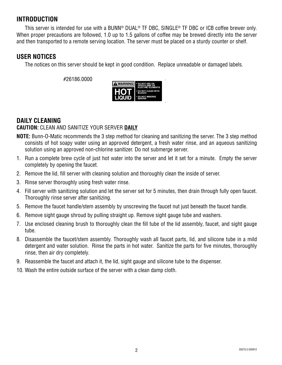#### **INTRODUCTION**

This server is intended for use with a BUNN® DUAL® TF DBC, SINGLE® TF DBC or ICB coffee brewer only. When proper precautions are followed, 1.0 up to 1.5 gallons of coffee may be brewed directly into the server and then transported to a remote serving location. The server must be placed on a sturdy counter or shelf.

#### **USER NOTICES**

The notices on this server should be kept in good condition. Replace unreadable or damaged labels.

#26186.0000



#### **DAILY CLEANING CAUTION:** CLEAN AND SANITIZE YOUR SERVER **DAILY**

- **NOTE:** Bunn-O-Matic recommends the 3 step method for cleaning and sanitizing the server. The 3 step method consists of hot soapy water using an approved detergent, a fresh water rinse, and an aqueous sanitizing solution using an approved non-chlorine sanitizer. Do not submerge server.
- 1. Run a complete brew cycle of just hot water into the server and let it set for a minute. Empty the server completely by opening the faucet.
- 2. Remove the lid, fill server with cleaning solution and thoroughly clean the inside of server.
- 3. Rinse server thoroughly using fresh water rinse.
- 4. Fill server with sanitizing solution and let the server set for 5 minutes, then drain through fully open faucet. Thoroughly rinse server after sanitizing.
- 5. Remove the faucet handle/stem assembly by unscrewing the faucet nut just beneath the faucet handle.
- 6. Remove sight gauge shroud by pulling straight up. Remove sight gauge tube and washers.
- 7. Use enclosed cleaning brush to thoroughly clean the fill tube of the lid assembly, faucet, and sight gauge tube.
- 8. Disassemble the faucet/stem assembly. Thoroughly wash all faucet parts, lid, and silicone tube in a mild detergent and water solution. Rinse the parts in hot water. Sanitize the parts for five minutes, thoroughly rinse, then air dry completely.
- 9. Reassemble the faucet and attach it, the lid, sight gauge and silicone tube to the dispenser.
- 10. Wash the entire outside surface of the server with a clean damp cloth.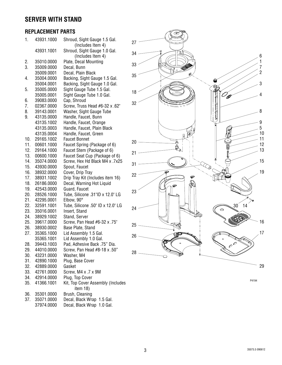#### **SERVER WITH STAND**

#### **REPLACEMENT PARTS**

| 1.  | 43931.1000 | Shroud, Sight Gauge 1.5 Gal.      |
|-----|------------|-----------------------------------|
|     |            | (Includes Item 4)                 |
|     | 43931.1001 | Shroud, Sight Gauge 1.0 Gal.      |
|     |            | (Includes Item 4)                 |
| 2.  | 35010.0000 | Plate, Decal Mounting             |
| 3.  | 35009.0000 | Decal, Bunn                       |
|     | 35009.0001 | Decal, Plain Black                |
| 4.  | 35004.0000 | Backing, Sight Gauge 1.5 Gal.     |
|     | 35004.0001 | Backing, Sight Gauge 1.0 Gal.     |
| 5.  | 35005.0000 | Sight Gauge Tube 1.5 Gal.         |
|     | 35005.0001 | Sight Gauge Tube 1.0 Gal.         |
| 6.  | 39083.0000 | Cap, Shroud                       |
| 7.  | 02367.0000 | Screw, Truss Head #6-32 x .62"    |
| 8.  | 39143.0001 | Washer, Sight Gauge Tube          |
| 9.  | 43135.0000 | Handle, Faucet, Bunn              |
|     | 43135.1002 | Handle, Faucet, Orange            |
|     | 43135.0003 | Handle, Faucet, Plain Black       |
|     | 43135.0004 | Handle, Faucet, Green             |
| 10. | 29165.1002 | <b>Faucet Bonnet</b>              |
| 11. | 00601.1000 | Faucet Spring (Package of 6)      |
| 12. | 29164.1000 | Faucet Stem (Package of 6)        |
| 13. | 00600.1000 | Faucet Seat Cup (Package of 6)    |
| 14. | 35074.0000 | Screw, Hex Hd Black M4 x .7x25    |
| 15. | 43930.0000 | Spout, Faucet                     |
| 16. | 38932.0000 | Cover, Drip Tray                  |
| 17. | 38931.1002 | Drip Tray Kit (Includes item 16)  |
| 18. | 26186.0000 | Decal, Warning Hot Liquid         |
| 19. | 42543.0000 | Guard, Faucet                     |
| 20. | 28526.1000 | Tube, Silicone .31"ID x 12.0" LG  |
| 21. | 42295.0001 | Elbow, 90°                        |
| 22. | 32591.1001 | Tube, Silicone .50" ID x 12.0" LG |
| 23. | 35016.0001 | Insert, Stand                     |
| 24. | 38929.1002 | Stand, Server                     |
| 25. | 39617.0000 | Screw, Pan Head #6-32 x .75"      |
| 26. | 38930.0002 | Base Plate, Stand                 |
| 27. | 35365.1000 | Lid Assembly 1.5 Gal.             |
|     | 35365.1001 | Lid Assembly 1.0 Gal.             |
| 28. | 39443.1003 | Pad, Adhesive Back .75" Dia.      |
| 29. | 44010.0000 | Screw, Pan Head #8-18 x .50"      |
| 30. | 43231.0000 | Washer, M4                        |
| 31. | 42890.1000 | Plug, Base Cover                  |
| 32. | 42889.0000 | Gasket                            |
| 33. | 42761.0000 | Screw, M4 x .7 x 9M               |
| 34. | 42914.0000 | Plug, Top Cover                   |
| 35. | 41366.1001 | Kit, Top Cover Assembly (Includes |
|     |            | item 18)                          |
| 36. | 35301.0000 | Brush, Cleaning                   |
| 37. | 35071.0000 | Decal, Black Wrap 1.5 Gal.        |
|     | 37974.0000 | Decal, Black Wrap 1.0 Gal.        |



P4194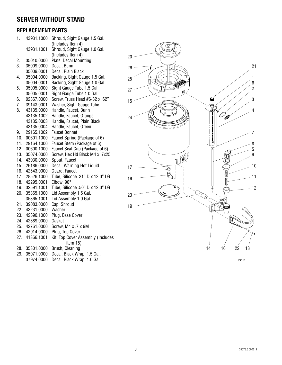#### **SERVER WITHOUT STAND**

#### **REPLACEMENT PARTS**

| 1.  | 43931.1000 | Shroud, Sight Gauge 1.5 Gal.                  |
|-----|------------|-----------------------------------------------|
|     |            | (Includes Item 4)                             |
|     | 43931.1001 | Shroud, Sight Gauge 1.0 Gal.                  |
|     |            | (Includes Item 4)                             |
| 2.  | 35010.0000 | Plate, Decal Mounting                         |
| 3.  | 35009.0000 | Decal, Bunn                                   |
|     | 35009.0001 | Decal, Plain Black                            |
| 4.  | 35004.0000 | Backing, Sight Gauge 1.5 Gal.                 |
|     | 35004.0001 | Backing, Sight Gauge 1.0 Gal.                 |
| 5.  | 35005.0000 | Sight Gauge Tube 1.5 Gal.                     |
|     | 35005.0001 | Sight Gauge Tube 1.0 Gal.                     |
| 6.  | 02367.0000 | Screw, Truss Head #6-32 x .62"                |
| 7.  | 39143.0001 | Washer, Sight Gauge Tube                      |
| 8.  | 43135.0000 | Handle, Faucet, Bunn                          |
|     | 43135.1002 | Handle, Faucet, Orange                        |
|     | 43135.0003 | Handle, Faucet, Plain Black                   |
|     | 43135.0004 | Handle, Faucet, Green                         |
| 9.  | 29165.1002 | <b>Faucet Bonnet</b>                          |
| 10. | 00601.1000 | Faucet Spring (Package of 6)                  |
| 11. | 29164.1000 | Faucet Stem (Package of 6)                    |
| 12. | 00600.1000 | Faucet Seat Cup (Package of 6)                |
| 13. | 35074.0000 | Screw, Hex Hd Black M4 x .7x25                |
| 14. | 43930.0000 | Spout, Faucet                                 |
| 15. | 26186.0000 | Decal, Warning Hot Liquid                     |
| 16. | 42543.0000 | Guard, Faucet                                 |
| 17. | 28526.1000 | Tube, Silicone .31"ID x 12.0" LG              |
| 18. | 42295.0001 | Elbow, 90°                                    |
| 19. | 32591.1001 | Tube, Silicone .50"ID x 12.0" LG              |
| 20. | 35365.1000 | Lid Assembly 1.5 Gal.                         |
|     | 35365.1001 | Lid Assembly 1.0 Gal.                         |
| 21. | 39083.0000 | Cap, Shroud                                   |
| 22. | 43231.0000 | Washer                                        |
| 23. | 42890.1000 | Plug, Base Cover                              |
| 24. | 42889.0000 | Gasket                                        |
| 25. | 42761.0000 | Screw, M4 x .7 x 9M                           |
| 26. | 42914.0000 | Plug, Top Cover                               |
| 27. | 41366.1001 | Kit, Top Cover Assembly (Includes<br>item 15) |
| 28. | 35301.0000 | Brush, Cleaning                               |
| 29. | 35071.0000 | Decal, Black Wrap 1.5 Gal.                    |
|     | 37974.0000 | Decal, Black Wrap 1.0 Gal.                    |
|     |            |                                               |



P4195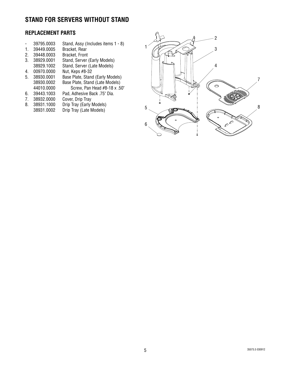#### **STAND FOR SERVERS WITHOUT STAND**

#### **REPLACEMENT PARTS**

|  | 39795.0003 | Stand, Assy (Includes items 1 - 8) |  |
|--|------------|------------------------------------|--|
|--|------------|------------------------------------|--|

- 1. 39449.0005 Bracket, Rear
- 2. 39448.0003
- 3. 38929.0001 Stand, Server (Early Models)
- 38929.1002 Stand, Server (Late Models)<br>00970.0000 Nut, Keps #8-32
- 4. 00970.0000
- 5. 38930.0001 Base Plate, Stand (Early Models) 38930.0002 Base Plate, Stand (Late Models) 44010.0000 Screw, Pan Head #8-18 x .50"
- 6. 39443.1003 Pad, Adhesive Back .75" Dia.
- 
- 7. 38932.0000<br>8. 38931.1000 Drip Tray (Early Models)
- 38931.0002 Drip Tray (Late Models)